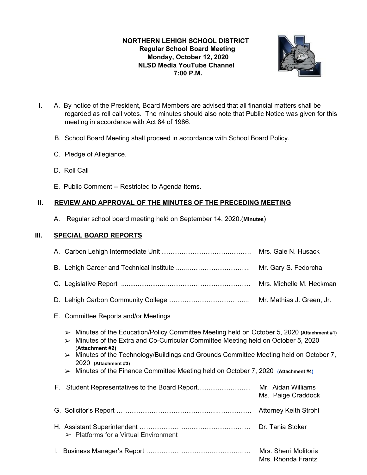# **NORTHERN LEHIGH SCHOOL DISTRICT Regular School Board Meeting Monday, October 12, 2020 NLSD Media YouTube Channel 7:00 P.M.**



- **I.** A. By notice of the President, Board Members are advised that all financial matters shall be regarded as roll call votes. The minutes should also note that Public Notice was given for this meeting in accordance with Act 84 of 1986.
	- B. School Board Meeting shall proceed in accordance with School Board Policy.
	- C. Pledge of Allegiance.
	- D. Roll Call
	- E. Public Comment -- Restricted to Agenda Items.

# **II. REVIEW AND APPROVAL OF THE MINUTES OF THE PRECEDING MEETING**

A. Regular school board meeting held on September 14, 2020.(**Minutes**)

## **III. SPECIAL BOARD REPORTS**

|    |                                                                                                                                                                                                                                                                                                                                                                                                                                                                   | Mrs. Gale N. Husack                         |  |
|----|-------------------------------------------------------------------------------------------------------------------------------------------------------------------------------------------------------------------------------------------------------------------------------------------------------------------------------------------------------------------------------------------------------------------------------------------------------------------|---------------------------------------------|--|
|    |                                                                                                                                                                                                                                                                                                                                                                                                                                                                   | Mr. Gary S. Fedorcha                        |  |
|    |                                                                                                                                                                                                                                                                                                                                                                                                                                                                   | Mrs. Michelle M. Heckman                    |  |
|    |                                                                                                                                                                                                                                                                                                                                                                                                                                                                   | Mr. Mathias J. Green, Jr.                   |  |
| Е. | <b>Committee Reports and/or Meetings</b>                                                                                                                                                                                                                                                                                                                                                                                                                          |                                             |  |
|    | > Minutes of the Education/Policy Committee Meeting held on October 5, 2020 (Attachment #1)<br>Minutes of the Extra and Co-Curricular Committee Meeting held on October 5, 2020<br>$\blacktriangleright$<br>(Attachment #2)<br>$\triangleright$ Minutes of the Technology/Buildings and Grounds Committee Meeting held on October 7,<br>2020 (Attachment #3)<br>$\triangleright$ Minutes of the Finance Committee Meeting held on October 7, 2020 (Attachment #4) |                                             |  |
|    | F. Student Representatives to the Board Report                                                                                                                                                                                                                                                                                                                                                                                                                    | Mr. Aidan Williams<br>Ms. Paige Craddock    |  |
|    |                                                                                                                                                                                                                                                                                                                                                                                                                                                                   | <b>Attorney Keith Strohl</b>                |  |
|    | $\triangleright$ Platforms for a Virtual Environment                                                                                                                                                                                                                                                                                                                                                                                                              | Dr. Tania Stoker                            |  |
|    |                                                                                                                                                                                                                                                                                                                                                                                                                                                                   | Mrs. Sherri Molitoris<br>Mrs. Rhonda Frantz |  |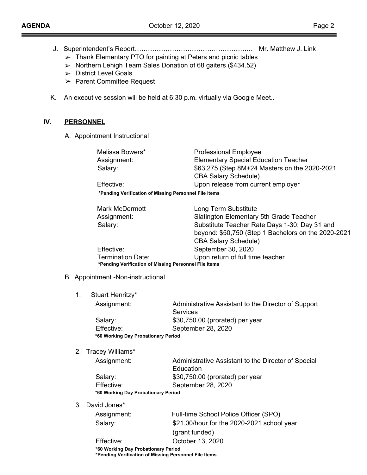- J. Superintendent's Report……………………………………………... Mr. Matthew J. Link
	- $>$  Thank Elementary PTO for painting at Peters and picnic tables
	- ➢ Northern Lehigh Team Sales Donation of 68 gaiters (\$434.52)
	- ➢ District Level Goals
	- ➢ Parent Committee Request
- K. An executive session will be held at 6:30 p.m. virtually via Google Meet..

## **IV. PERSONNEL**

A. Appointment Instructional

| Melissa Bowers*                                       | <b>Professional Employee</b>                  |
|-------------------------------------------------------|-----------------------------------------------|
| Assignment:                                           | <b>Elementary Special Education Teacher</b>   |
| Salary:                                               | \$63,275 (Step 8M+24 Masters on the 2020-2021 |
|                                                       | <b>CBA Salary Schedule)</b>                   |
| Effective:                                            | Upon release from current employer            |
| *Pending Verification of Missing Personnel File Items |                                               |
|                                                       |                                               |

| Mark McDermott                                        | Long Term Substitute                                |  |
|-------------------------------------------------------|-----------------------------------------------------|--|
| Assignment:                                           | Slatington Elementary 5th Grade Teacher             |  |
| Salary:                                               | Substitute Teacher Rate Days 1-30; Day 31 and       |  |
|                                                       | beyond: \$50,750 (Step 1 Bachelors on the 2020-2021 |  |
|                                                       | <b>CBA Salary Schedule)</b>                         |  |
| Effective:                                            | September 30, 2020                                  |  |
| <b>Termination Date:</b>                              | Upon return of full time teacher                    |  |
| *Pending Verification of Missing Personnel File Items |                                                     |  |

#### B. Appointment -Non-instructional

1. Stuart Henritzy\*

| Assignment:                         | Administrative Assistant to the Director of Support |
|-------------------------------------|-----------------------------------------------------|
|                                     | <b>Services</b>                                     |
| Salary:                             | \$30,750.00 (prorated) per year                     |
| Effective:                          | September 28, 2020                                  |
| *60 Working Day Probationary Period |                                                     |

2. Tracey Williams\*

| Assignment:                         | Administrative Assistant to the Director of Special |
|-------------------------------------|-----------------------------------------------------|
|                                     | Education                                           |
| Salary:                             | \$30,750.00 (prorated) per year                     |
| Effective:                          | September 28, 2020                                  |
| *60 Working Day Probationary Period |                                                     |
|                                     |                                                     |

3. David Jones\*

| Assignment: | Full-time School Police Officer (SPO)      |
|-------------|--------------------------------------------|
| Salary:     | \$21.00/hour for the 2020-2021 school year |
|             | (grant funded)                             |

Effective: October 13, 2020 **\*60 Working Day Probationary Period \*Pending Verification of Missing Personnel File Items**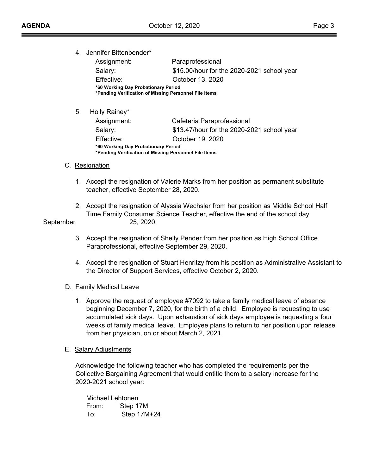4. Jennifer Bittenbender\*

| Assignment:                                                                                  | Paraprofessional                           |  |
|----------------------------------------------------------------------------------------------|--------------------------------------------|--|
| Salary:                                                                                      | \$15.00/hour for the 2020-2021 school year |  |
| Effective:                                                                                   | October 13, 2020                           |  |
| *60 Working Day Probationary Period<br>*Pending Verification of Missing Personnel File Items |                                            |  |

5. Holly Rainey\*

| Assignment:                                                                                  | Cafeteria Paraprofessional                 |  |
|----------------------------------------------------------------------------------------------|--------------------------------------------|--|
| Salary:                                                                                      | \$13.47/hour for the 2020-2021 school year |  |
| Effective:                                                                                   | October 19, 2020                           |  |
| *60 Working Day Probationary Period<br>*Pending Verification of Missing Personnel File Items |                                            |  |

- C**.** Resignation
	- 1. Accept the resignation of Valerie Marks from her position as permanent substitute teacher, effective September 28, 2020.
- 2. Accept the resignation of Alyssia Wechsler from her position as Middle School Half Time Family Consumer Science Teacher, effective the end of the school day September 25, 2020.

- 3. Accept the resignation of Shelly Pender from her position as High School Office Paraprofessional, effective September 29, 2020.
- 4. Accept the resignation of Stuart Henritzy from his position as Administrative Assistant to the Director of Support Services, effective October 2, 2020.

## D. Family Medical Leave

1. Approve the request of employee #7092 to take a family medical leave of absence beginning December 7, 2020, for the birth of a child. Employee is requesting to use accumulated sick days. Upon exhaustion of sick days employee is requesting a four weeks of family medical leave. Employee plans to return to her position upon release from her physician, on or about March 2, 2021.

#### E. Salary Adjustments

Acknowledge the following teacher who has completed the requirements per the Collective Bargaining Agreement that would entitle them to a salary increase for the 2020-2021 school year:

Michael Lehtonen From: Step 17M To: Step 17M+24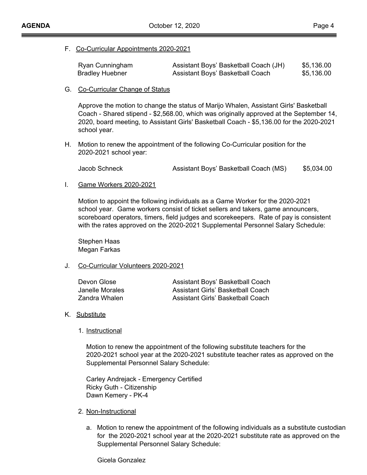F. Co-Curricular Appointments 2020-2021

| Ryan Cunningham        | Assistant Boys' Basketball Coach (JH) | \$5,136.00 |
|------------------------|---------------------------------------|------------|
| <b>Bradley Huebner</b> | Assistant Boys' Basketball Coach      | \$5,136.00 |

#### G. Co-Curricular Change of Status

Approve the motion to change the status of Marijo Whalen, Assistant Girls' Basketball Coach - Shared stipend - \$2,568.00, which was originally approved at the September 14, 2020, board meeting, to Assistant Girls' Basketball Coach - \$5,136.00 for the 2020-2021 school year.

H. Motion to renew the appointment of the following Co-Curricular position for the 2020-2021 school year:

Jacob Schneck Assistant Boys' Basketball Coach (MS) \$5,034.00

I. Game Workers 2020-2021

Motion to appoint the following individuals as a Game Worker for the 2020-2021 school year. Game workers consist of ticket sellers and takers, game announcers, scoreboard operators, timers, field judges and scorekeepers. Rate of pay is consistent with the rates approved on the 2020-2021 Supplemental Personnel Salary Schedule:

Stephen Haas Megan Farkas

J. Co-Curricular Volunteers 2020-2021

| Devon Glose     | Assistant Boys' Basketball Coach  |
|-----------------|-----------------------------------|
| Janelle Morales | Assistant Girls' Basketball Coach |
| Zandra Whalen   | Assistant Girls' Basketball Coach |

- K. Substitute
	- 1. Instructional

Motion to renew the appointment of the following substitute teachers for the 2020-2021 school year at the 2020-2021 substitute teacher rates as approved on the Supplemental Personnel Salary Schedule:

Carley Andrejack - Emergency Certified Ricky Guth - Citizenship Dawn Kemery - PK-4

- 2. Non-Instructional
	- a. Motion to renew the appointment of the following individuals as a substitute custodian for the 2020-2021 school year at the 2020-2021 substitute rate as approved on the Supplemental Personnel Salary Schedule:

Gicela Gonzalez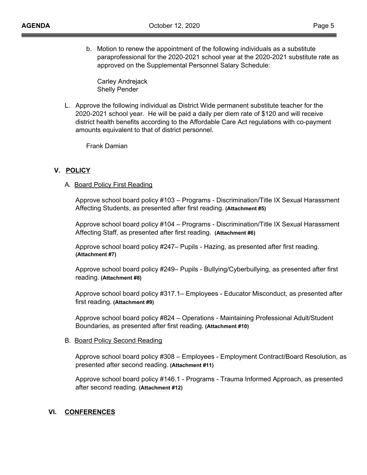b. Motion to renew the appointment of the following individuals as a substitute paraprofessional for the 2020-2021 school year at the 2020-2021 substitute rate as approved on the Supplemental Personnel Salary Schedule:

Carley Andrejack Shelly Pender

L. Approve the following individual as District Wide permanent substitute teacher for the 2020-2021 school year. He will be paid a daily per diem rate of \$120 and will receive district health benefits according to the Affordable Care Act regulations with co-payment amounts equivalent to that of district personnel.

Frank Damian

## **V. POLICY**

#### A**.** Board Policy First Reading

Approve school board policy #103 – Programs - Discrimination/Title IX Sexual Harassment Affecting Students, as presented after first reading. **(Attachment #5)**

Approve school board policy #104 – Programs - Discrimination/Title IX Sexual Harassment Affecting Staff, as presented after first reading. **(Attachment #6)**

Approve school board policy #247– Pupils - Hazing, as presented after first reading. **(Attachment #7)**

Approve school board policy #249– Pupils - Bullying/Cyberbullying, as presented after first reading. **(Attachment #8)**

Approve school board policy #317.1– Employees - Educator Misconduct, as presented after first reading. **(Attachment #9)**

Approve school board policy #824 – Operations - Maintaining Professional Adult/Student Boundaries, as presented after first reading. **(Attachment #10)**

#### B. Board Policy Second Reading

Approve school board policy #308 – Employees - Employment Contract/Board Resolution, as presented after second reading. **(Attachment #11)**

Approve school board policy #146.1 - Programs - Trauma Informed Approach, as presented after second reading. **(Attachment #12)**

#### **VI. CONFERENCES**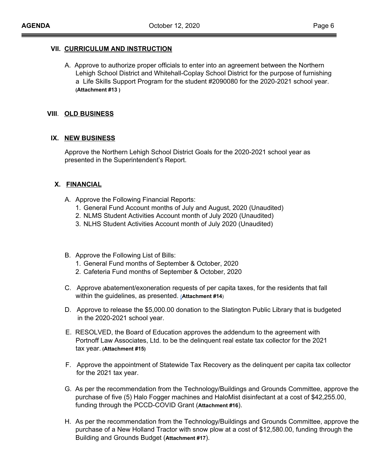## **VII. CURRICULUM AND INSTRUCTION**

A. Approve to authorize proper officials to enter into an agreement between the Northern Lehigh School District and Whitehall-Coplay School District for the purpose of furnishing a Life Skills Support Program for the student #2090080 for the 2020-2021 school year. **(Attachment #13 )**

#### **VIII**. **OLD BUSINESS**

## **IX. NEW BUSINESS**

Approve the Northern Lehigh School District Goals for the 2020-2021 school year as presented in the Superintendent's Report.

## **X. FINANCIAL**

- A. Approve the Following Financial Reports:
	- 1. General Fund Account months of July and August, 2020 (Unaudited)
	- 2. NLMS Student Activities Account month of July 2020 (Unaudited)
	- 3. NLHS Student Activities Account month of July 2020 (Unaudited)
- B. Approve the Following List of Bills:
	- 1. General Fund months of September & October, 2020
	- 2. Cafeteria Fund months of September & October, 2020
- C. Approve abatement/exoneration requests of per capita taxes, for the residents that fall within the guidelines, as presented. [\(](https://drive.google.com/open?id=0B0jiNnmPqXG4YWwyZEJXeFdia05rREpVc3I2S1A2OHBkbm84)**Attachment #14**)
- D. Approve to release the \$5,000.00 donation to the Slatington Public Library that is budgeted in the 2020-2021 school year.
- E. RESOLVED, the Board of Education approves the addendum to the agreement with Portnoff Law Associates, Ltd. to be the delinquent real estate tax collector for the 2021 tax year. **(Attachment #15)**
- F. Approve the appointment of Statewide Tax Recovery as the delinquent per capita tax collector for the 2021 tax year.
- G. As per the recommendation from the Technology/Buildings and Grounds Committee, approve the purchase of five (5) Halo Fogger machines and HaloMist disinfectant at a cost of \$42,255.00, funding through the PCCD-COVID Grant (**Attachment #16**).
- H. As per the recommendation from the Technology/Buildings and Grounds Committee, approve the purchase of a New Holland Tractor with snow plow at a cost of \$12,580.00, funding through the Building and Grounds Budget (**Attachment #17**).